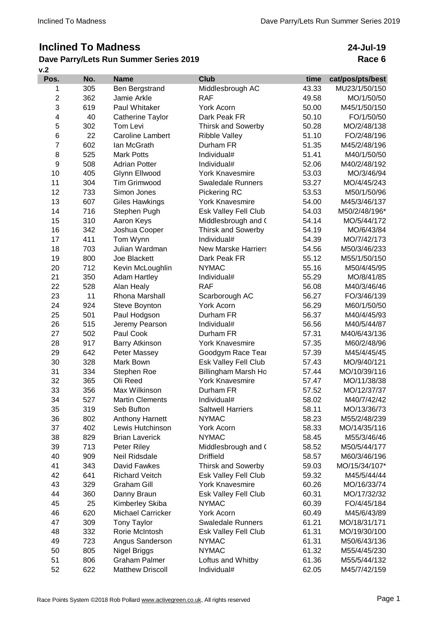# **Inclined To Madness**

## **Dave Parry/Lets Run Summer Series 2019**

**v.2**

**24-Jul-19 Race 6**

| Pos.           | No. | <b>Name</b>              | <b>Club</b>                | time  | cat/pos/pts/best |
|----------------|-----|--------------------------|----------------------------|-------|------------------|
| 1              | 305 | Ben Bergstrand           | Middlesbrough AC           | 43.33 | MU23/1/50/150    |
| $\overline{2}$ | 362 | Jamie Arkle              | <b>RAF</b>                 | 49.58 | MO/1/50/50       |
| 3              | 619 | Paul Whitaker            | <b>York Acorn</b>          | 50.00 | M45/1/50/150     |
| 4              | 40  | Catherine Taylor         | Dark Peak FR               | 50.10 | FO/1/50/50       |
| 5              | 302 | Tom Levi                 | <b>Thirsk and Sowerby</b>  | 50.28 | MO/2/48/138      |
| 6              | 22  | <b>Caroline Lambert</b>  | <b>Ribble Valley</b>       | 51.10 | FO/2/48/196      |
| 7              | 602 | lan McGrath              | Durham FR                  | 51.35 | M45/2/48/196     |
| 8              | 525 | <b>Mark Potts</b>        | Individual#                | 51.41 | M40/1/50/50      |
| 9              | 508 | <b>Adrian Potter</b>     | Individual#                | 52.06 | M40/2/48/192     |
| 10             | 405 | Glynn Ellwood            | <b>York Knavesmire</b>     | 53.03 | MO/3/46/94       |
| 11             | 304 | <b>Tim Grimwood</b>      | <b>Swaledale Runners</b>   | 53.27 | MO/4/45/243      |
| 12             | 733 | Simon Jones              | Pickering RC               | 53.53 | M50/1/50/96      |
| 13             | 607 | <b>Giles Hawkings</b>    | <b>York Knavesmire</b>     | 54.00 | M45/3/46/137     |
| 14             | 716 | Stephen Pugh             | Esk Valley Fell Club       | 54.03 | M50/2/48/196*    |
| 15             | 310 | Aaron Keys               | Middlesbrough and (        | 54.14 | MO/5/44/172      |
| 16             | 342 | Joshua Cooper            | <b>Thirsk and Sowerby</b>  | 54.19 | MO/6/43/84       |
| 17             | 411 | Tom Wynn                 | Individual#                | 54.39 | MO/7/42/173      |
| 18             | 703 | Julian Wardman           | <b>New Marske Harriers</b> | 54.56 | M50/3/46/233     |
| 19             | 800 | Joe Blackett             | Dark Peak FR               | 55.12 | M55/1/50/150     |
| 20             | 712 | Kevin McLoughlin         | <b>NYMAC</b>               | 55.16 | M50/4/45/95      |
| 21             | 350 | <b>Adam Hartley</b>      | Individual#                | 55.29 | MO/8/41/85       |
| 22             | 528 | Alan Healy               | <b>RAF</b>                 | 56.08 | M40/3/46/46      |
| 23             | 11  | Rhona Marshall           | Scarborough AC             | 56.27 | FO/3/46/139      |
| 24             | 924 | Steve Boynton            | York Acorn                 | 56.29 | M60/1/50/50      |
| 25             | 501 | Paul Hodgson             | Durham FR                  | 56.37 | M40/4/45/93      |
| 26             | 515 | Jeremy Pearson           | Individual#                | 56.56 | M40/5/44/87      |
| 27             | 502 | Paul Cook                | Durham FR                  | 57.31 | M40/6/43/136     |
| 28             | 917 | <b>Barry Atkinson</b>    | <b>York Knavesmire</b>     | 57.35 | M60/2/48/96      |
| 29             | 642 | Peter Massey             | Goodgym Race Tear          | 57.39 | M45/4/45/45      |
| 30             | 328 | Mark Bown                | Esk Valley Fell Club       | 57.43 | MO/9/40/121      |
| 31             | 334 | Stephen Roe              | Billingham Marsh Ho        | 57.44 | MO/10/39/116     |
| 32             | 365 | Oli Reed                 | <b>York Knavesmire</b>     | 57.47 | MO/11/38/38      |
| 33             | 356 | Max Wilkinson            | Durham FR                  | 57.52 | MO/12/37/37      |
| 34             | 527 | <b>Martin Clements</b>   | Individual#                | 58.02 | M40/7/42/42      |
| 35             | 319 | Seb Bufton               | <b>Saltwell Harriers</b>   | 58.11 | MO/13/36/73      |
| 36             | 802 | Anthony Harnett          | <b>NYMAC</b>               | 58.23 | M55/2/48/239     |
| 37             | 402 | Lewis Hutchinson         | York Acorn                 | 58.33 | MO/14/35/116     |
| 38             | 829 | <b>Brian Laverick</b>    | <b>NYMAC</b>               | 58.45 | M55/3/46/46      |
| 39             | 713 | Peter Riley              | Middlesbrough and (        | 58.52 | M50/5/44/177     |
| 40             | 909 | Neil Ridsdale            | <b>Driffield</b>           | 58.57 | M60/3/46/196     |
| 41             | 343 | David Fawkes             | <b>Thirsk and Sowerby</b>  | 59.03 | MO/15/34/107*    |
| 42             | 641 | <b>Richard Veitch</b>    | Esk Valley Fell Club       | 59.32 | M45/5/44/44      |
| 43             | 329 | <b>Graham Gill</b>       | <b>York Knavesmire</b>     | 60.26 | MO/16/33/74      |
| 44             | 360 | Danny Braun              | Esk Valley Fell Club       | 60.31 | MO/17/32/32      |
| 45             | 25  | Kimberley Skiba          | <b>NYMAC</b>               | 60.39 | FO/4/45/184      |
| 46             | 620 | <b>Michael Carricker</b> | York Acorn                 | 60.49 | M45/6/43/89      |
| 47             | 309 | <b>Tony Taylor</b>       | <b>Swaledale Runners</b>   | 61.21 | MO/18/31/171     |
| 48             | 332 | Rorie McIntosh           | Esk Valley Fell Club       | 61.31 | MO/19/30/100     |
| 49             | 723 | Angus Sanderson          | <b>NYMAC</b>               | 61.31 | M50/6/43/136     |
| 50             | 805 | Nigel Briggs             | <b>NYMAC</b>               | 61.32 | M55/4/45/230     |
| 51             | 806 | <b>Graham Palmer</b>     | Loftus and Whitby          | 61.36 | M55/5/44/132     |
| 52             | 622 | <b>Matthew Driscoll</b>  | Individual#                | 62.05 | M45/7/42/159     |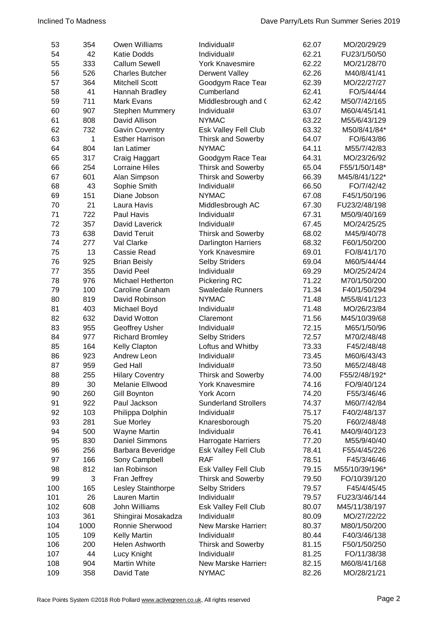| 53  | 354  | Owen Williams          | Individual#                 | 62.07 | MO/20/29/29    |
|-----|------|------------------------|-----------------------------|-------|----------------|
| 54  | 42   | <b>Katie Dodds</b>     | Individual#                 | 62.21 | FU23/1/50/50   |
| 55  | 333  | <b>Callum Sewell</b>   | <b>York Knavesmire</b>      | 62.22 | MO/21/28/70    |
| 56  | 526  | <b>Charles Butcher</b> | <b>Derwent Valley</b>       | 62.26 | M40/8/41/41    |
| 57  | 364  | <b>Mitchell Scott</b>  | Goodgym Race Tear           | 62.39 | MO/22/27/27    |
| 58  | 41   | Hannah Bradley         | Cumberland                  | 62.41 | FO/5/44/44     |
| 59  | 711  | Mark Evans             | Middlesbrough and (         | 62.42 | M50/7/42/165   |
| 60  | 907  | <b>Stephen Mummery</b> | Individual#                 | 63.07 | M60/4/45/141   |
| 61  | 808  | David Allison          | <b>NYMAC</b>                | 63.22 | M55/6/43/129   |
| 62  | 732  | <b>Gavin Coventry</b>  | Esk Valley Fell Club        | 63.32 | M50/8/41/84*   |
| 63  | 1    | <b>Esther Harrison</b> | <b>Thirsk and Sowerby</b>   | 64.07 | FO/6/43/86     |
| 64  | 804  | lan Latimer            | <b>NYMAC</b>                | 64.11 | M55/7/42/83    |
| 65  | 317  | Craig Haggart          | Goodgym Race Tear           | 64.31 | MO/23/26/92    |
| 66  | 254  | <b>Lorraine Hiles</b>  | <b>Thirsk and Sowerby</b>   | 65.04 | F55/1/50/148*  |
| 67  | 601  | Alan Simpson           | <b>Thirsk and Sowerby</b>   | 66.39 | M45/8/41/122*  |
| 68  | 43   | Sophie Smith           | Individual#                 | 66.50 | FO/7/42/42     |
| 69  | 151  | Diane Jobson           | <b>NYMAC</b>                | 67.08 | F45/1/50/196   |
| 70  | 21   | Laura Havis            | Middlesbrough AC            | 67.30 | FU23/2/48/198  |
| 71  | 722  | Paul Havis             | Individual#                 | 67.31 | M50/9/40/169   |
| 72  | 357  | David Laverick         | Individual#                 | 67.45 | MO/24/25/25    |
| 73  | 638  | David Teruit           | <b>Thirsk and Sowerby</b>   | 68.02 | M45/9/40/78    |
| 74  | 277  | Val Clarke             | <b>Darlington Harriers</b>  | 68.32 | F60/1/50/200   |
| 75  | 13   | Cassie Read            | <b>York Knavesmire</b>      | 69.01 | FO/8/41/170    |
| 76  | 925  | <b>Brian Beisly</b>    | <b>Selby Striders</b>       | 69.04 | M60/5/44/44    |
| 77  | 355  | David Peel             | Individual#                 | 69.29 | MO/25/24/24    |
| 78  | 976  | Michael Hetherton      | Pickering RC                | 71.22 | M70/1/50/200   |
| 79  | 100  | Caroline Graham        | <b>Swaledale Runners</b>    | 71.34 | F40/1/50/294   |
| 80  | 819  | David Robinson         | <b>NYMAC</b>                | 71.48 | M55/8/41/123   |
| 81  | 403  | Michael Boyd           | Individual#                 | 71.48 | MO/26/23/84    |
| 82  | 632  | David Wotton           | Claremont                   | 71.56 | M45/10/39/68   |
| 83  | 955  | Geoffrey Usher         | Individual#                 | 72.15 | M65/1/50/96    |
| 84  | 977  | <b>Richard Bromley</b> | <b>Selby Striders</b>       | 72.57 | M70/2/48/48    |
| 85  | 164  | Kelly Clapton          | Loftus and Whitby           | 73.33 | F45/2/48/48    |
| 86  | 923  | <b>Andrew Leon</b>     | Individual#                 | 73.45 | M60/6/43/43    |
| 87  | 959  | <b>Ged Hall</b>        | Individual#                 | 73.50 | M65/2/48/48    |
| 88  | 255  | <b>Hilary Coventry</b> | <b>Thirsk and Sowerby</b>   | 74.00 | F55/2/48/192*  |
| 89  | 30   | Melanie Ellwood        | <b>York Knavesmire</b>      | 74.16 | FO/9/40/124    |
| 90  | 260  | <b>Gill Boynton</b>    | <b>York Acorn</b>           | 74.20 | F55/3/46/46    |
| 91  | 922  | Paul Jackson           | <b>Sunderland Strollers</b> | 74.37 | M60/7/42/84    |
| 92  | 103  | Philippa Dolphin       | Individual#                 | 75.17 | F40/2/48/137   |
| 93  | 281  | Sue Morley             | Knaresborough               | 75.20 | F60/2/48/48    |
| 94  | 500  | <b>Wayne Martin</b>    | Individual#                 | 76.41 | M40/9/40/123   |
| 95  | 830  | <b>Daniel Simmons</b>  | Harrogate Harriers          | 77.20 | M55/9/40/40    |
| 96  | 256  | Barbara Beveridge      | Esk Valley Fell Club        | 78.41 | F55/4/45/226   |
| 97  | 166  | Sony Campbell          | <b>RAF</b>                  | 78.51 | F45/3/46/46    |
| 98  | 812  | lan Robinson           | Esk Valley Fell Club        | 79.15 | M55/10/39/196* |
| 99  | 3    | Fran Jeffrey           | <b>Thirsk and Sowerby</b>   | 79.50 | FO/10/39/120   |
| 100 | 165  | Lesley Stainthorpe     | <b>Selby Striders</b>       | 79.57 | F45/4/45/45    |
| 101 | 26   | Lauren Martin          | Individual#                 | 79.57 | FU23/3/46/144  |
| 102 | 608  | John Williams          | Esk Valley Fell Club        | 80.07 | M45/11/38/197  |
| 103 | 361  | Shingirai Mosakadza    | Individual#                 | 80.09 | MO/27/22/22    |
| 104 | 1000 | Ronnie Sherwood        | <b>New Marske Harriers</b>  | 80.37 | M80/1/50/200   |
| 105 | 109  | <b>Kelly Martin</b>    | Individual#                 | 80.44 | F40/3/46/138   |
| 106 | 200  | Helen Ashworth         | <b>Thirsk and Sowerby</b>   | 81.15 | F50/1/50/250   |
| 107 | 44   | Lucy Knight            | Individual#                 | 81.25 | FO/11/38/38    |
| 108 | 904  | Martin White           | <b>New Marske Harriers</b>  | 82.15 | M60/8/41/168   |
| 109 | 358  | David Tate             | <b>NYMAC</b>                | 82.26 | MO/28/21/21    |
|     |      |                        |                             |       |                |